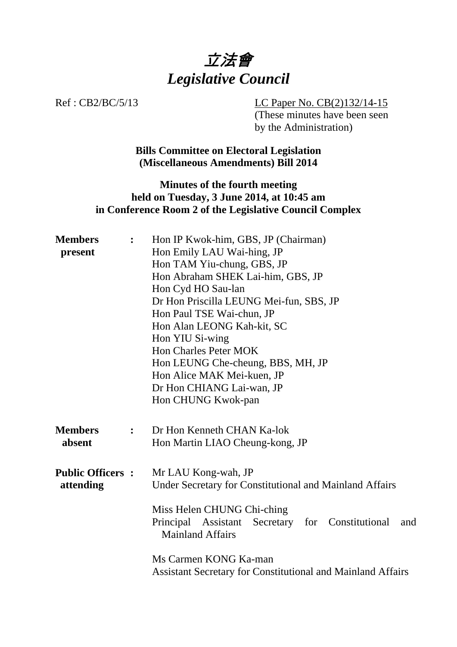

Ref : CB2/BC/5/13 LC Paper No. CB(2)132/14-15 (These minutes have been seen by the Administration)

> **Bills Committee on Electoral Legislation (Miscellaneous Amendments) Bill 2014**

## **Minutes of the fourth meeting held on Tuesday, 3 June 2014, at 10:45 am in Conference Room 2 of the Legislative Council Complex**

| <b>Members</b><br>present | $\ddot{\cdot}$ | Hon IP Kwok-him, GBS, JP (Chairman)<br>Hon Emily LAU Wai-hing, JP<br>Hon TAM Yiu-chung, GBS, JP |
|---------------------------|----------------|-------------------------------------------------------------------------------------------------|
|                           |                | Hon Abraham SHEK Lai-him, GBS, JP                                                               |
|                           |                | Hon Cyd HO Sau-lan                                                                              |
|                           |                | Dr Hon Priscilla LEUNG Mei-fun, SBS, JP                                                         |
|                           |                | Hon Paul TSE Wai-chun, JP                                                                       |
|                           |                | Hon Alan LEONG Kah-kit, SC                                                                      |
|                           |                | Hon YIU Si-wing                                                                                 |
|                           |                | <b>Hon Charles Peter MOK</b>                                                                    |
|                           |                | Hon LEUNG Che-cheung, BBS, MH, JP                                                               |
|                           |                | Hon Alice MAK Mei-kuen, JP                                                                      |
|                           |                | Dr Hon CHIANG Lai-wan, JP                                                                       |
|                           |                | Hon CHUNG Kwok-pan                                                                              |
| <b>Members</b>            | $\ddot{\cdot}$ | Dr Hon Kenneth CHAN Ka-lok                                                                      |
| absent                    |                | Hon Martin LIAO Cheung-kong, JP                                                                 |
| <b>Public Officers:</b>   |                | Mr LAU Kong-wah, JP                                                                             |
| attending                 |                | Under Secretary for Constitutional and Mainland Affairs                                         |
|                           |                | Miss Helen CHUNG Chi-ching                                                                      |
|                           |                | Principal Assistant Secretary for Constitutional<br>and<br><b>Mainland Affairs</b>              |
|                           |                | Ms Carmen KONG Ka-man<br><b>Assistant Secretary for Constitutional and Mainland Affairs</b>     |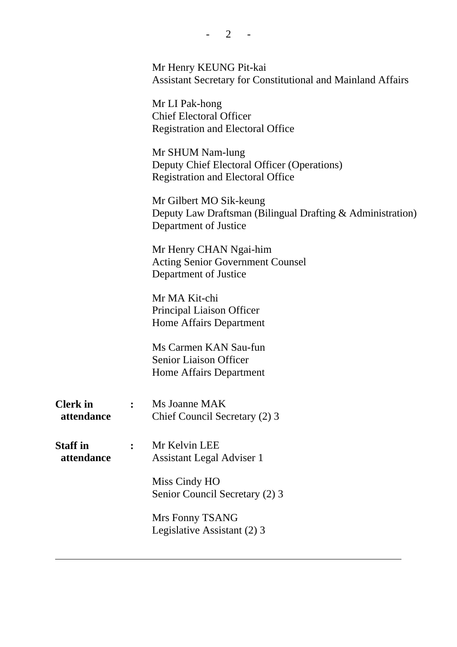|                               | Mr Henry KEUNG Pit-kai<br><b>Assistant Secretary for Constitutional and Mainland Affairs</b>                   |
|-------------------------------|----------------------------------------------------------------------------------------------------------------|
|                               | Mr LI Pak-hong<br><b>Chief Electoral Officer</b><br><b>Registration and Electoral Office</b>                   |
|                               | Mr SHUM Nam-lung<br>Deputy Chief Electoral Officer (Operations)<br><b>Registration and Electoral Office</b>    |
|                               | Mr Gilbert MO Sik-keung<br>Deputy Law Draftsman (Bilingual Drafting & Administration)<br>Department of Justice |
|                               | Mr Henry CHAN Ngai-him<br><b>Acting Senior Government Counsel</b><br>Department of Justice                     |
|                               | Mr MA Kit-chi<br>Principal Liaison Officer<br>Home Affairs Department                                          |
|                               | Ms Carmen KAN Sau-fun<br><b>Senior Liaison Officer</b><br>Home Affairs Department                              |
| <b>Clerk</b> in<br>attendance | Ms Joanne MAK<br>Chief Council Secretary (2) 3                                                                 |
| <b>Staff</b> in<br>attendance | Mr Kelvin LEE<br><b>Assistant Legal Adviser 1</b>                                                              |
|                               | Miss Cindy HO<br>Senior Council Secretary (2) 3                                                                |
|                               | Mrs Fonny TSANG<br>Legislative Assistant (2) 3                                                                 |
|                               |                                                                                                                |

 $- 2 - 1$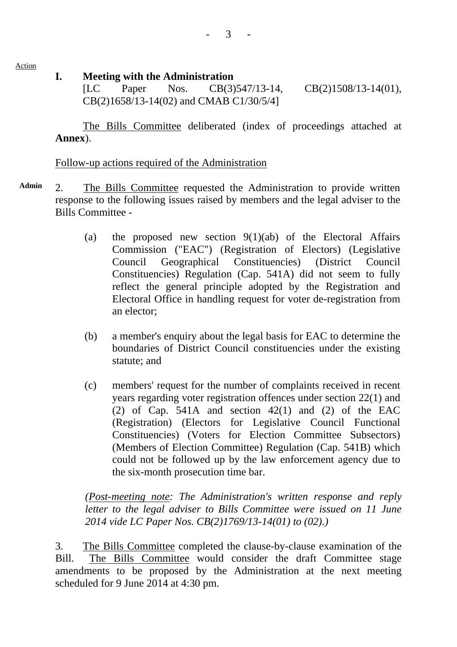Action

#### **I. Meeting with the Administration**

[LC Paper Nos. CB(3)547/13-14, CB(2)1508/13-14(01), CB(2)1658/13-14(02) and CMAB C1/30/5/4]

 The Bills Committee deliberated (index of proceedings attached at **Annex**).

#### Follow-up actions required of the Administration

- **Admin** 2. The Bills Committee requested the Administration to provide written response to the following issues raised by members and the legal adviser to the Bills Committee -
	- (a) the proposed new section  $9(1)(ab)$  of the Electoral Affairs Commission ("EAC") (Registration of Electors) (Legislative Council Geographical Constituencies) (District Council Constituencies) Regulation (Cap. 541A) did not seem to fully reflect the general principle adopted by the Registration and Electoral Office in handling request for voter de-registration from an elector;
	- (b) a member's enquiry about the legal basis for EAC to determine the boundaries of District Council constituencies under the existing statute; and
	- (c) members' request for the number of complaints received in recent years regarding voter registration offences under section 22(1) and (2) of Cap. 541A and section  $42(1)$  and (2) of the EAC (Registration) (Electors for Legislative Council Functional Constituencies) (Voters for Election Committee Subsectors) (Members of Election Committee) Regulation (Cap. 541B) which could not be followed up by the law enforcement agency due to the six-month prosecution time bar.

*(Post-meeting note: The Administration's written response and reply letter to the legal adviser to Bills Committee were issued on 11 June 2014 vide LC Paper Nos. CB(2)1769/13-14(01) to (02).)* 

3. The Bills Committee completed the clause-by-clause examination of the Bill. The Bills Committee would consider the draft Committee stage amendments to be proposed by the Administration at the next meeting scheduled for 9 June 2014 at 4:30 pm.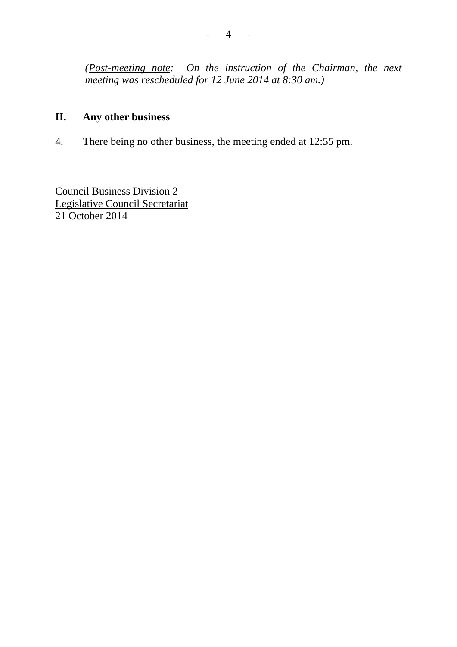*(Post-meeting note: On the instruction of the Chairman, the next meeting was rescheduled for 12 June 2014 at 8:30 am.)*

# **II. Any other business**

4. There being no other business, the meeting ended at 12:55 pm.

Council Business Division 2 Legislative Council Secretariat 21 October 2014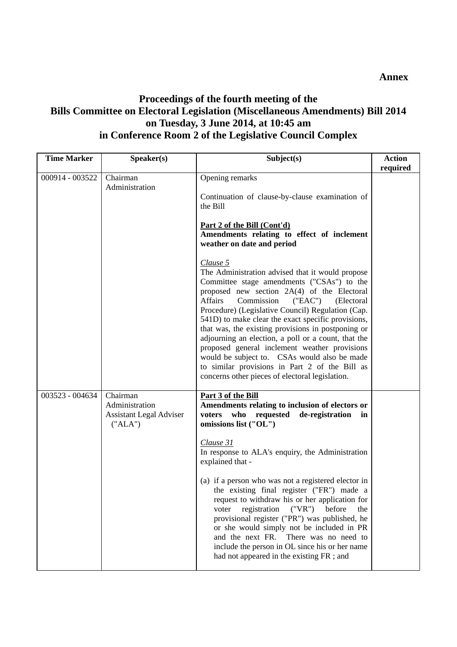## **Proceedings of the fourth meeting of the Bills Committee on Electoral Legislation (Miscellaneous Amendments) Bill 2014 on Tuesday, 3 June 2014, at 10:45 am in Conference Room 2 of the Legislative Council Complex**

| <b>Time Marker</b> | Speaker(s)                                                              | Subject(s)                                                                                                                                                                                                                                                                                                                                                                                                                                                                                                                                                                                                                                                                                                                                                                                                                                           | <b>Action</b><br>required |
|--------------------|-------------------------------------------------------------------------|------------------------------------------------------------------------------------------------------------------------------------------------------------------------------------------------------------------------------------------------------------------------------------------------------------------------------------------------------------------------------------------------------------------------------------------------------------------------------------------------------------------------------------------------------------------------------------------------------------------------------------------------------------------------------------------------------------------------------------------------------------------------------------------------------------------------------------------------------|---------------------------|
| 000914 - 003522    | Chairman<br>Administration                                              | Opening remarks<br>Continuation of clause-by-clause examination of<br>the Bill<br><u>Part 2 of the Bill (Cont'd)</u><br>Amendments relating to effect of inclement<br>weather on date and period<br>Clause 5<br>The Administration advised that it would propose<br>Committee stage amendments ("CSAs") to the<br>proposed new section 2A(4) of the Electoral<br><b>Affairs</b><br>Commission<br>("EAC")<br>(Electoral<br>Procedure) (Legislative Council) Regulation (Cap.<br>541D) to make clear the exact specific provisions,<br>that was, the existing provisions in postponing or<br>adjourning an election, a poll or a count, that the<br>proposed general inclement weather provisions<br>would be subject to. CSAs would also be made<br>to similar provisions in Part 2 of the Bill as<br>concerns other pieces of electoral legislation. |                           |
| 003523 - 004634    | Chairman<br>Administration<br><b>Assistant Legal Adviser</b><br>("ALA") | Part 3 of the Bill<br>Amendments relating to inclusion of electors or<br>voters who requested de-registration<br>in<br>omissions list ("OL")<br>Clause 31<br>In response to ALA's enquiry, the Administration<br>explained that -<br>(a) if a person who was not a registered elector in<br>the existing final register ("FR") made a<br>request to withdraw his or her application for<br>("VR")<br>registration<br>before<br>the<br>voter<br>provisional register ("PR") was published, he<br>or she would simply not be included in PR<br>and the next FR.<br>There was no need to<br>include the person in OL since his or her name<br>had not appeared in the existing FR ; and                                                                                                                                                                 |                           |

**Annex**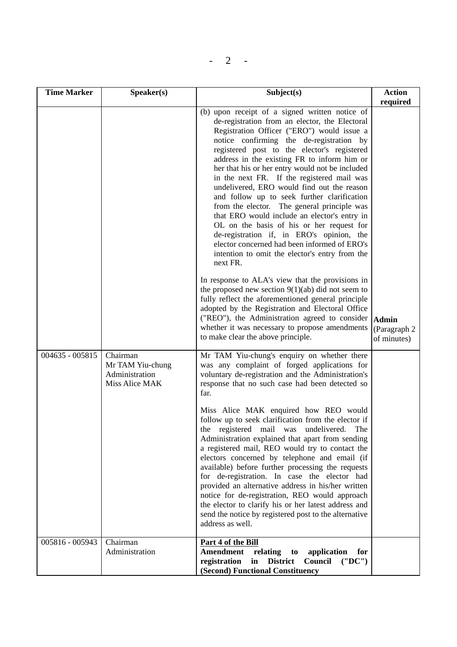| <b>Time Marker</b> | Speaker(s)                                                       | Subject(s)                                                                                                                                                                                                                                                                                                                                                                                                                                                                                                                                                                                                                                                                                                                                                                                                                                                                                                                                                                                                                                                                                                                                                                                                                                                                                                                                                                                                                                                                                                                                                                                                                                                                                                                                                                                                                                                                                                                                                                                                                         | <b>Action</b>                                           |
|--------------------|------------------------------------------------------------------|------------------------------------------------------------------------------------------------------------------------------------------------------------------------------------------------------------------------------------------------------------------------------------------------------------------------------------------------------------------------------------------------------------------------------------------------------------------------------------------------------------------------------------------------------------------------------------------------------------------------------------------------------------------------------------------------------------------------------------------------------------------------------------------------------------------------------------------------------------------------------------------------------------------------------------------------------------------------------------------------------------------------------------------------------------------------------------------------------------------------------------------------------------------------------------------------------------------------------------------------------------------------------------------------------------------------------------------------------------------------------------------------------------------------------------------------------------------------------------------------------------------------------------------------------------------------------------------------------------------------------------------------------------------------------------------------------------------------------------------------------------------------------------------------------------------------------------------------------------------------------------------------------------------------------------------------------------------------------------------------------------------------------------|---------------------------------------------------------|
| 004635 - 005815    | Chairman<br>Mr TAM Yiu-chung<br>Administration<br>Miss Alice MAK | (b) upon receipt of a signed written notice of<br>de-registration from an elector, the Electoral<br>Registration Officer ("ERO") would issue a<br>notice confirming the de-registration by<br>registered post to the elector's registered<br>address in the existing FR to inform him or<br>her that his or her entry would not be included<br>in the next FR. If the registered mail was<br>undelivered, ERO would find out the reason<br>and follow up to seek further clarification<br>from the elector. The general principle was<br>that ERO would include an elector's entry in<br>OL on the basis of his or her request for<br>de-registration if, in ERO's opinion, the<br>elector concerned had been informed of ERO's<br>intention to omit the elector's entry from the<br>next FR.<br>In response to ALA's view that the provisions in<br>the proposed new section $9(1)(ab)$ did not seem to<br>fully reflect the aforementioned general principle<br>adopted by the Registration and Electoral Office<br>("REO"), the Administration agreed to consider<br>whether it was necessary to propose amendments<br>to make clear the above principle.<br>Mr TAM Yiu-chung's enquiry on whether there<br>was any complaint of forged applications for<br>voluntary de-registration and the Administration's<br>response that no such case had been detected so<br>far.<br>Miss Alice MAK enquired how REO would<br>follow up to seek clarification from the elector if<br>the registered mail was undelivered. The<br>Administration explained that apart from sending<br>a registered mail, REO would try to contact the<br>electors concerned by telephone and email (if<br>available) before further processing the requests<br>for de-registration. In case the elector had<br>provided an alternative address in his/her written<br>notice for de-registration, REO would approach<br>the elector to clarify his or her latest address and<br>send the notice by registered post to the alternative<br>address as well. | required<br><b>Admin</b><br>(Paragraph 2<br>of minutes) |
| 005816 - 005943    | Chairman<br>Administration                                       | Part 4 of the Bill<br><b>Amendment</b><br>relating<br>application<br>to<br>for<br>registration<br><b>District</b><br>Council<br>in<br>('D'C')<br>(Second) Functional Constituency                                                                                                                                                                                                                                                                                                                                                                                                                                                                                                                                                                                                                                                                                                                                                                                                                                                                                                                                                                                                                                                                                                                                                                                                                                                                                                                                                                                                                                                                                                                                                                                                                                                                                                                                                                                                                                                  |                                                         |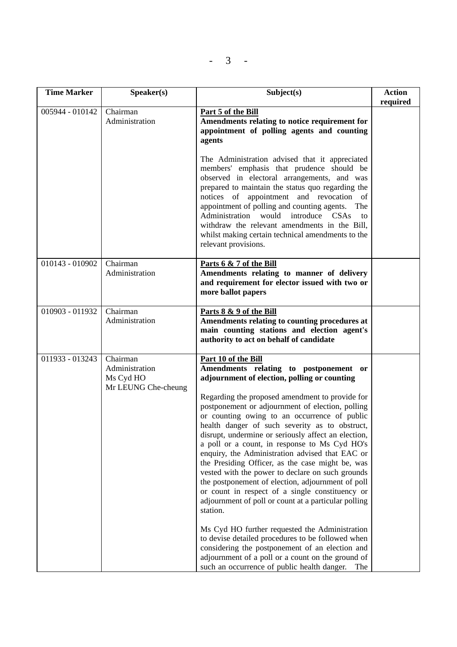$- 3 -$ 

| <b>Time Marker</b> | Speaker(s)                                                     | Subject(s)                                                                                                                                                                                                                                                                                                                                                                                                                                                                                                                                                                                                                                                                                                                                                                                                                                                                                                                                                                                                                                 | <b>Action</b><br>required |
|--------------------|----------------------------------------------------------------|--------------------------------------------------------------------------------------------------------------------------------------------------------------------------------------------------------------------------------------------------------------------------------------------------------------------------------------------------------------------------------------------------------------------------------------------------------------------------------------------------------------------------------------------------------------------------------------------------------------------------------------------------------------------------------------------------------------------------------------------------------------------------------------------------------------------------------------------------------------------------------------------------------------------------------------------------------------------------------------------------------------------------------------------|---------------------------|
| 005944 - 010142    | Chairman<br>Administration                                     | Part 5 of the Bill<br>Amendments relating to notice requirement for<br>appointment of polling agents and counting<br>agents                                                                                                                                                                                                                                                                                                                                                                                                                                                                                                                                                                                                                                                                                                                                                                                                                                                                                                                |                           |
|                    |                                                                | The Administration advised that it appreciated<br>members' emphasis that prudence should be<br>observed in electoral arrangements, and was<br>prepared to maintain the status quo regarding the<br>notices of appointment and revocation of<br>appointment of polling and counting agents.<br>The<br>Administration would<br>introduce<br>CSAs<br>to<br>withdraw the relevant amendments in the Bill,<br>whilst making certain technical amendments to the<br>relevant provisions.                                                                                                                                                                                                                                                                                                                                                                                                                                                                                                                                                         |                           |
| 010143 - 010902    | Chairman<br>Administration                                     | Parts 6 & 7 of the Bill<br>Amendments relating to manner of delivery<br>and requirement for elector issued with two or<br>more ballot papers                                                                                                                                                                                                                                                                                                                                                                                                                                                                                                                                                                                                                                                                                                                                                                                                                                                                                               |                           |
| 010903 - 011932    | Chairman<br>Administration                                     | Parts 8 & 9 of the Bill<br>Amendments relating to counting procedures at<br>main counting stations and election agent's<br>authority to act on behalf of candidate                                                                                                                                                                                                                                                                                                                                                                                                                                                                                                                                                                                                                                                                                                                                                                                                                                                                         |                           |
| 011933 - 013243    | Chairman<br>Administration<br>Ms Cyd HO<br>Mr LEUNG Che-cheung | Part 10 of the Bill<br>Amendments relating to postponement or<br>adjournment of election, polling or counting<br>Regarding the proposed amendment to provide for<br>postponement or adjournment of election, polling<br>or counting owing to an occurrence of public<br>health danger of such severity as to obstruct,<br>disrupt, undermine or seriously affect an election,<br>a poll or a count, in response to Ms Cyd HO's<br>enquiry, the Administration advised that EAC or<br>the Presiding Officer, as the case might be, was<br>vested with the power to declare on such grounds<br>the postponement of election, adjournment of poll<br>or count in respect of a single constituency or<br>adjournment of poll or count at a particular polling<br>station.<br>Ms Cyd HO further requested the Administration<br>to devise detailed procedures to be followed when<br>considering the postponement of an election and<br>adjournment of a poll or a count on the ground of<br>such an occurrence of public health danger.<br>The |                           |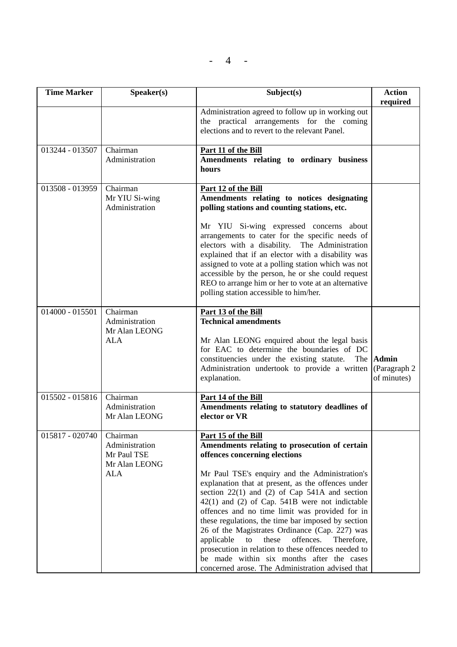$- 4 -$ 

| <b>Time Marker</b> | Speaker(s)                                                               | Subject(s)                                                                                                                                                                                                                                                                                                                                                                                                                                                                                                                                                                                                                                                                                       | <b>Action</b><br>required                   |
|--------------------|--------------------------------------------------------------------------|--------------------------------------------------------------------------------------------------------------------------------------------------------------------------------------------------------------------------------------------------------------------------------------------------------------------------------------------------------------------------------------------------------------------------------------------------------------------------------------------------------------------------------------------------------------------------------------------------------------------------------------------------------------------------------------------------|---------------------------------------------|
|                    |                                                                          | Administration agreed to follow up in working out<br>the practical arrangements for the coming<br>elections and to revert to the relevant Panel.                                                                                                                                                                                                                                                                                                                                                                                                                                                                                                                                                 |                                             |
| 013244 - 013507    | Chairman<br>Administration                                               | Part 11 of the Bill<br>Amendments relating to ordinary business<br>hours                                                                                                                                                                                                                                                                                                                                                                                                                                                                                                                                                                                                                         |                                             |
| 013508 - 013959    | Chairman<br>Mr YIU Si-wing<br>Administration                             | Part 12 of the Bill<br>Amendments relating to notices designating<br>polling stations and counting stations, etc.                                                                                                                                                                                                                                                                                                                                                                                                                                                                                                                                                                                |                                             |
|                    |                                                                          | Mr YIU Si-wing expressed concerns about<br>arrangements to cater for the specific needs of<br>electors with a disability. The Administration<br>explained that if an elector with a disability was<br>assigned to vote at a polling station which was not<br>accessible by the person, he or she could request<br>REO to arrange him or her to vote at an alternative<br>polling station accessible to him/her.                                                                                                                                                                                                                                                                                  |                                             |
| $014000 - 015501$  | Chairman<br>Administration                                               | Part 13 of the Bill<br><b>Technical amendments</b>                                                                                                                                                                                                                                                                                                                                                                                                                                                                                                                                                                                                                                               |                                             |
|                    | Mr Alan LEONG<br><b>ALA</b>                                              | Mr Alan LEONG enquired about the legal basis<br>for EAC to determine the boundaries of DC<br>constituencies under the existing statute.<br>The<br>Administration undertook to provide a written<br>explanation.                                                                                                                                                                                                                                                                                                                                                                                                                                                                                  | <b>Admin</b><br>(Paragraph 2<br>of minutes) |
| 015502 - 015816    | Chairman<br>Administration<br>Mr Alan LEONG                              | Part 14 of the Bill<br>Amendments relating to statutory deadlines of<br>elector or VR                                                                                                                                                                                                                                                                                                                                                                                                                                                                                                                                                                                                            |                                             |
| 015817 - 020740    | Chairman<br>Administration<br>Mr Paul TSE<br>Mr Alan LEONG<br><b>ALA</b> | Part 15 of the Bill<br>Amendments relating to prosecution of certain<br>offences concerning elections<br>Mr Paul TSE's enquiry and the Administration's<br>explanation that at present, as the offences under<br>section $22(1)$ and $(2)$ of Cap 541A and section<br>$42(1)$ and (2) of Cap. 541B were not indictable<br>offences and no time limit was provided for in<br>these regulations, the time bar imposed by section<br>26 of the Magistrates Ordinance (Cap. 227) was<br>applicable<br>offences.<br>to<br>these<br>Therefore,<br>prosecution in relation to these offences needed to<br>be made within six months after the cases<br>concerned arose. The Administration advised that |                                             |